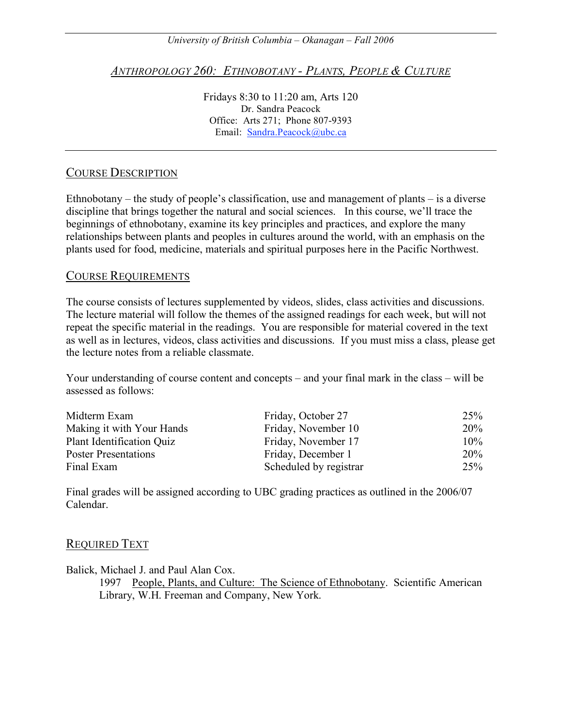*University of British Columbia – Okanagan – Fall 2006*

*ANTHROPOLOGY 260: ETHNOBOTANY - PLANTS, PEOPLE & CULTURE*

Fridays 8:30 to 11:20 am, Arts 120 Dr. Sandra Peacock Office: Arts 271; Phone 807-9393 Email: Sandra.Peacock@ubc.ca

### COURSE DESCRIPTION

Ethnobotany – the study of people's classification, use and management of plants – is a diverse discipline that brings together the natural and social sciences. In this course, we'll trace the beginnings of ethnobotany, examine its key principles and practices, and explore the many relationships between plants and peoples in cultures around the world, with an emphasis on the plants used for food, medicine, materials and spiritual purposes here in the Pacific Northwest.

#### COURSE REQUIREMENTS

The course consists of lectures supplemented by videos, slides, class activities and discussions. The lecture material will follow the themes of the assigned readings for each week, but will not repeat the specific material in the readings. You are responsible for material covered in the text as well as in lectures, videos, class activities and discussions. If you must miss a class, please get the lecture notes from a reliable classmate.

Your understanding of course content and concepts – and your final mark in the class – will be assessed as follows:

| Midterm Exam                | Friday, October 27     | 25%    |
|-----------------------------|------------------------|--------|
| Making it with Your Hands   | Friday, November 10    | 20%    |
| Plant Identification Quiz   | Friday, November 17    | $10\%$ |
| <b>Poster Presentations</b> | Friday, December 1     | 20%    |
| Final Exam                  | Scheduled by registrar | 25%    |

Final grades will be assigned according to UBC grading practices as outlined in the 2006/07 Calendar.

### REQUIRED TEXT

Balick, Michael J. and Paul Alan Cox.

1997 People, Plants, and Culture: The Science of Ethnobotany. Scientific American Library, W.H. Freeman and Company, New York.